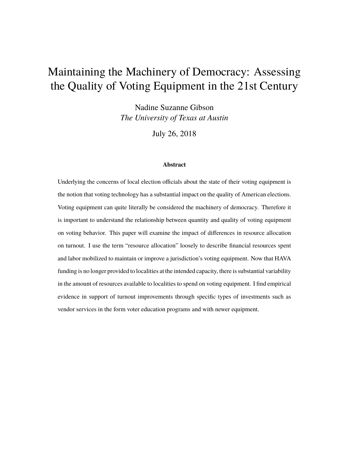# Maintaining the Machinery of Democracy: Assessing the Quality of Voting Equipment in the 21st Century

Nadine Suzanne Gibson *The University of Texas at Austin*

July 26, 2018

#### **Abstract**

Underlying the concerns of local election officials about the state of their voting equipment is the notion that voting technology has a substantial impact on the quality of American elections. Voting equipment can quite literally be considered the machinery of democracy. Therefore it is important to understand the relationship between quantity and quality of voting equipment on voting behavior. This paper will examine the impact of differences in resource allocation on turnout. I use the term "resource allocation" loosely to describe financial resources spent and labor mobilized to maintain or improve a jurisdiction's voting equipment. Now that HAVA funding is no longer provided to localities at the intended capacity, there is substantial variability in the amount of resources available to localities to spend on voting equipment. I find empirical evidence in support of turnout improvements through specific types of investments such as vendor services in the form voter education programs and with newer equipment.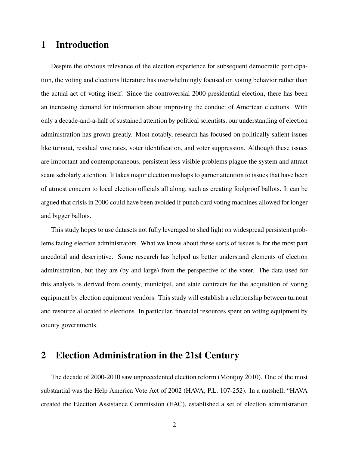# **1 Introduction**

Despite the obvious relevance of the election experience for subsequent democratic participation, the voting and elections literature has overwhelmingly focused on voting behavior rather than the actual act of voting itself. Since the controversial 2000 presidential election, there has been an increasing demand for information about improving the conduct of American elections. With only a decade-and-a-half of sustained attention by political scientists, our understanding of election administration has grown greatly. Most notably, research has focused on politically salient issues like turnout, residual vote rates, voter identification, and voter suppression. Although these issues are important and contemporaneous, persistent less visible problems plague the system and attract scant scholarly attention. It takes major election mishaps to garner attention to issues that have been of utmost concern to local election officials all along, such as creating foolproof ballots. It can be argued that crisis in 2000 could have been avoided if punch card voting machines allowed for longer and bigger ballots.

This study hopes to use datasets not fully leveraged to shed light on widespread persistent problems facing election administrators. What we know about these sorts of issues is for the most part anecdotal and descriptive. Some research has helped us better understand elements of election administration, but they are (by and large) from the perspective of the voter. The data used for this analysis is derived from county, municipal, and state contracts for the acquisition of voting equipment by election equipment vendors. This study will establish a relationship between turnout and resource allocated to elections. In particular, financial resources spent on voting equipment by county governments.

# **2 Election Administration in the 21st Century**

The decade of 2000-2010 saw unprecedented election reform (Montjoy 2010). One of the most substantial was the Help America Vote Act of 2002 (HAVA; P.L. 107-252). In a nutshell, "HAVA created the Election Assistance Commission (EAC), established a set of election administration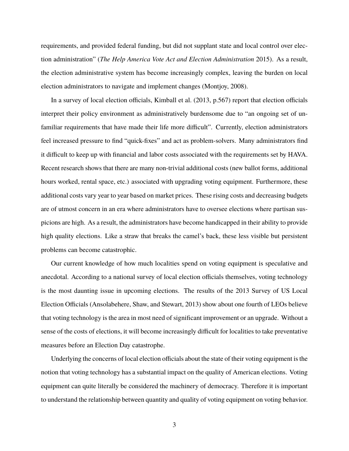requirements, and provided federal funding, but did not supplant state and local control over election administration" (*The Help America Vote Act and Election Administration* 2015). As a result, the election administrative system has become increasingly complex, leaving the burden on local election administrators to navigate and implement changes (Montjoy, 2008).

In a survey of local election officials, Kimball et al. (2013, p.567) report that election officials interpret their policy environment as administratively burdensome due to "an ongoing set of unfamiliar requirements that have made their life more difficult". Currently, election administrators feel increased pressure to find "quick-fixes" and act as problem-solvers. Many administrators find it difficult to keep up with financial and labor costs associated with the requirements set by HAVA. Recent research shows that there are many non-trivial additional costs (new ballot forms, additional hours worked, rental space, etc.) associated with upgrading voting equipment. Furthermore, these additional costs vary year to year based on market prices. These rising costs and decreasing budgets are of utmost concern in an era where administrators have to oversee elections where partisan suspicions are high. As a result, the administrators have become handicapped in their ability to provide high quality elections. Like a straw that breaks the camel's back, these less visible but persistent problems can become catastrophic.

Our current knowledge of how much localities spend on voting equipment is speculative and anecdotal. According to a national survey of local election officials themselves, voting technology is the most daunting issue in upcoming elections. The results of the 2013 Survey of US Local Election Officials (Ansolabehere, Shaw, and Stewart, 2013) show about one fourth of LEOs believe that voting technology is the area in most need of significant improvement or an upgrade. Without a sense of the costs of elections, it will become increasingly difficult for localities to take preventative measures before an Election Day catastrophe.

Underlying the concerns of local election officials about the state of their voting equipment is the notion that voting technology has a substantial impact on the quality of American elections. Voting equipment can quite literally be considered the machinery of democracy. Therefore it is important to understand the relationship between quantity and quality of voting equipment on voting behavior.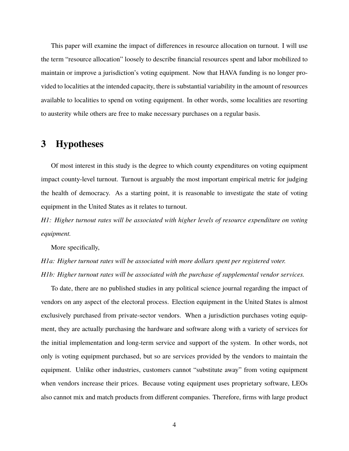This paper will examine the impact of differences in resource allocation on turnout. I will use the term "resource allocation" loosely to describe financial resources spent and labor mobilized to maintain or improve a jurisdiction's voting equipment. Now that HAVA funding is no longer provided to localities at the intended capacity, there is substantial variability in the amount of resources available to localities to spend on voting equipment. In other words, some localities are resorting to austerity while others are free to make necessary purchases on a regular basis.

### **3 Hypotheses**

Of most interest in this study is the degree to which county expenditures on voting equipment impact county-level turnout. Turnout is arguably the most important empirical metric for judging the health of democracy. As a starting point, it is reasonable to investigate the state of voting equipment in the United States as it relates to turnout.

*H1: Higher turnout rates will be associated with higher levels of resource expenditure on voting equipment.*

More specifically,

*H1a: Higher turnout rates will be associated with more dollars spent per registered voter. H1b: Higher turnout rates will be associated with the purchase of supplemental vendor services.*

To date, there are no published studies in any political science journal regarding the impact of vendors on any aspect of the electoral process. Election equipment in the United States is almost exclusively purchased from private-sector vendors. When a jurisdiction purchases voting equipment, they are actually purchasing the hardware and software along with a variety of services for the initial implementation and long-term service and support of the system. In other words, not only is voting equipment purchased, but so are services provided by the vendors to maintain the equipment. Unlike other industries, customers cannot "substitute away" from voting equipment when vendors increase their prices. Because voting equipment uses proprietary software, LEOs also cannot mix and match products from different companies. Therefore, firms with large product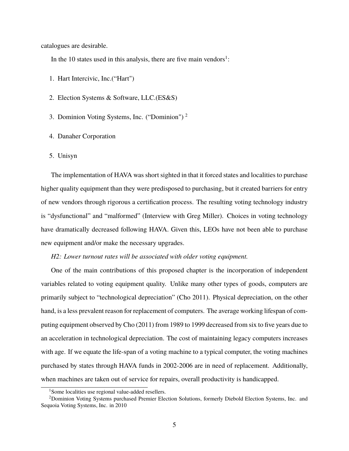catalogues are desirable.

In the 10 states used in this analysis, there are five main vendors<sup>1</sup>:

- 1. Hart Intercivic, Inc.("Hart")
- 2. Election Systems & Software, LLC.(ES&S)
- 3. Dominion Voting Systems, Inc. ("Dominion") <sup>2</sup>
- 4. Danaher Corporation
- 5. Unisyn

The implementation of HAVA was short sighted in that it forced states and localities to purchase higher quality equipment than they were predisposed to purchasing, but it created barriers for entry of new vendors through rigorous a certification process. The resulting voting technology industry is "dysfunctional" and "malformed" (Interview with Greg Miller). Choices in voting technology have dramatically decreased following HAVA. Given this, LEOs have not been able to purchase new equipment and/or make the necessary upgrades.

*H2: Lower turnout rates will be associated with older voting equipment.*

One of the main contributions of this proposed chapter is the incorporation of independent variables related to voting equipment quality. Unlike many other types of goods, computers are primarily subject to "technological depreciation" (Cho 2011). Physical depreciation, on the other hand, is a less prevalent reason for replacement of computers. The average working lifespan of computing equipment observed by Cho (2011) from 1989 to 1999 decreased from six to five years due to an acceleration in technological depreciation. The cost of maintaining legacy computers increases with age. If we equate the life-span of a voting machine to a typical computer, the voting machines purchased by states through HAVA funds in 2002-2006 are in need of replacement. Additionally, when machines are taken out of service for repairs, overall productivity is handicapped.

<sup>&</sup>lt;sup>1</sup>Some localities use regional value-added resellers.

<sup>&</sup>lt;sup>2</sup>Dominion Voting Systems purchased Premier Election Solutions, formerly Diebold Election Systems, Inc. and Sequoia Voting Systems, Inc. in 2010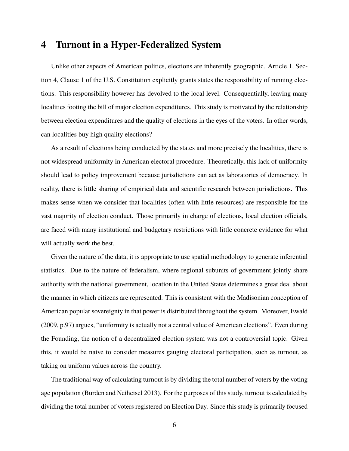# **4 Turnout in a Hyper-Federalized System**

Unlike other aspects of American politics, elections are inherently geographic. Article 1, Section 4, Clause 1 of the U.S. Constitution explicitly grants states the responsibility of running elections. This responsibility however has devolved to the local level. Consequentially, leaving many localities footing the bill of major election expenditures. This study is motivated by the relationship between election expenditures and the quality of elections in the eyes of the voters. In other words, can localities buy high quality elections?

As a result of elections being conducted by the states and more precisely the localities, there is not widespread uniformity in American electoral procedure. Theoretically, this lack of uniformity should lead to policy improvement because jurisdictions can act as laboratories of democracy. In reality, there is little sharing of empirical data and scientific research between jurisdictions. This makes sense when we consider that localities (often with little resources) are responsible for the vast majority of election conduct. Those primarily in charge of elections, local election officials, are faced with many institutional and budgetary restrictions with little concrete evidence for what will actually work the best.

Given the nature of the data, it is appropriate to use spatial methodology to generate inferential statistics. Due to the nature of federalism, where regional subunits of government jointly share authority with the national government, location in the United States determines a great deal about the manner in which citizens are represented. This is consistent with the Madisonian conception of American popular sovereignty in that power is distributed throughout the system. Moreover, Ewald (2009, p.97) argues, "uniformity is actually not a central value of American elections". Even during the Founding, the notion of a decentralized election system was not a controversial topic. Given this, it would be naive to consider measures gauging electoral participation, such as turnout, as taking on uniform values across the country.

The traditional way of calculating turnout is by dividing the total number of voters by the voting age population (Burden and Neiheisel 2013). For the purposes of this study, turnout is calculated by dividing the total number of voters registered on Election Day. Since this study is primarily focused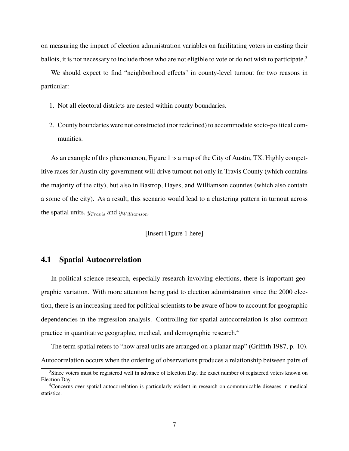on measuring the impact of election administration variables on facilitating voters in casting their ballots, it is not necessary to include those who are not eligible to vote or do not wish to participate.<sup>3</sup>

We should expect to find "neighborhood effects" in county-level turnout for two reasons in particular:

- 1. Not all electoral districts are nested within county boundaries.
- 2. County boundaries were not constructed (nor redefined) to accommodate socio-political communities.

As an example of this phenomenon, Figure 1 is a map of the City of Austin, TX. Highly competitive races for Austin city government will drive turnout not only in Travis County (which contains the majority of the city), but also in Bastrop, Hayes, and Williamson counties (which also contain a some of the city). As a result, this scenario would lead to a clustering pattern in turnout across the spatial units,  $y_{Travis}$  and  $y_{Williamson}$ .

[Insert Figure 1 here]

#### **4.1 Spatial Autocorrelation**

In political science research, especially research involving elections, there is important geographic variation. With more attention being paid to election administration since the 2000 election, there is an increasing need for political scientists to be aware of how to account for geographic dependencies in the regression analysis. Controlling for spatial autocorrelation is also common practice in quantitative geographic, medical, and demographic research.<sup>4</sup>

The term spatial refers to "how areal units are arranged on a planar map" (Griffith 1987, p. 10). Autocorrelation occurs when the ordering of observations produces a relationship between pairs of

<sup>&</sup>lt;sup>3</sup>Since voters must be registered well in advance of Election Day, the exact number of registered voters known on Election Day.

<sup>4</sup>Concerns over spatial autocorrelation is particularly evident in research on communicable diseases in medical statistics.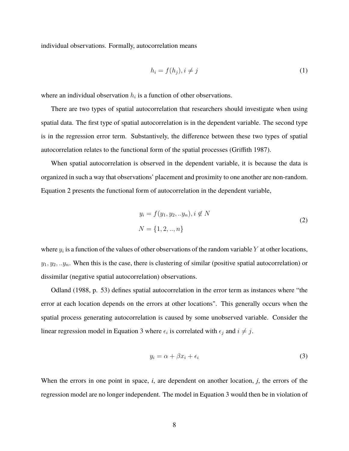individual observations. Formally, autocorrelation means

$$
h_i = f(h_j), i \neq j \tag{1}
$$

where an individual observation  $h_i$  is a function of other observations.

There are two types of spatial autocorrelation that researchers should investigate when using spatial data. The first type of spatial autocorrelation is in the dependent variable. The second type is in the regression error term. Substantively, the difference between these two types of spatial autocorrelation relates to the functional form of the spatial processes (Griffith 1987).

When spatial autocorrelation is observed in the dependent variable, it is because the data is organized in such a way that observations' placement and proximity to one another are non-random. Equation 2 presents the functional form of autocorrelation in the dependent variable,

$$
y_i = f(y_1, y_2, ... y_n), i \notin N
$$
  

$$
N = \{1, 2, ..., n\}
$$
 (2)

where  $y_i$  is a function of the values of other observations of the random variable Y at other locations,  $y_1, y_2, \ldots, y_n$ . When this is the case, there is clustering of similar (positive spatial autocorrelation) or dissimilar (negative spatial autocorrelation) observations.

Odland (1988, p. 53) defines spatial autocorrelation in the error term as instances where "the error at each location depends on the errors at other locations". This generally occurs when the spatial process generating autocorrelation is caused by some unobserved variable. Consider the linear regression model in Equation 3 where  $\epsilon_i$  is correlated with  $\epsilon_j$  and  $i \neq j$ .

$$
y_i = \alpha + \beta x_i + \epsilon_i \tag{3}
$$

When the errors in one point in space, *i*, are dependent on another location, *j*, the errors of the regression model are no longer independent. The model in Equation 3 would then be in violation of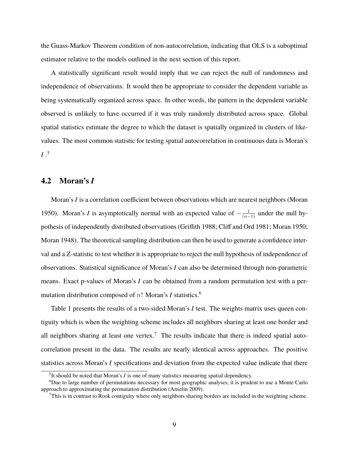the Guass-Markov Theorem condition of non-autocorrelation, indicating that OLS is a suboptimal estimator relative to the models outlined in the next section of this report.

A statistically significant result would imply that we can reject the null of randomness and independence of observations. It would then be appropriate to consider the dependent variable as being systematically organized across space. In other words, the pattern in the dependent variable observed is unlikely to have occurred if it was truly randomly distributed across space. Global spatial statistics estimate the degree to which the dataset is spatially organized in clusters of likevalues. The most common statistic for testing spatial autocorrelation in continuous data is Moran's *I* . 5

#### **4.2 Moran's** *I*

Moran's *I* is a correlation coefficient between observations which are nearest neighbors (Moran 1950). Moran's *I* is asymptotically normal with an expected value of  $-\frac{1}{(n-1)}$  under the null hypothesis of independently distributed observations (Griffith 1988; Cliff and Ord 1981; Moran 1950; Moran 1948). The theoretical sampling distribution can then be used to generate a confidence interval and a Z-statistic to test whether it is appropriate to reject the null hypothesis of independence of observations. Statistical significance of Moran's *I* can also be determined through non-parametric means. Exact p-values of Moran's *I* can be obtained from a random permutation test with a permutation distribution composed of n! Moran's *I* statistics.<sup>6</sup>

Table 1 presents the results of a two-sided Moran's *I* test. The weights matrix uses queen contiguity which is when the weighting scheme includes all neighbors sharing at least one border and all neighbors sharing at least one vertex.<sup>7</sup> The results indicate that there is indeed spatial autocorrelation present in the data. The results are nearly identical across approaches. The positive statistics across Moran's *I* specifications and deviation from the expected value indicate that there

<sup>5</sup> It should be noted that Moran's *I* is one of many statistics measuring spatial dependency.

<sup>6</sup>Due to large number of permutations necessary for most geographic analyses, it is prudent to use a Monte Carlo approach to approximating the permutation distribution (Anselin 2009).

 $7$ This is in contrast to Rook contiguity where only neighbors sharing borders are included in the weighting scheme.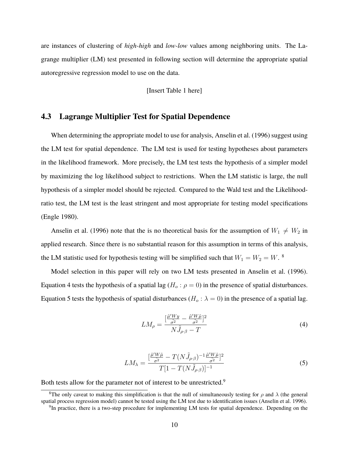are instances of clustering of *high-high* and *low-low* values among neighboring units. The Lagrange multiplier (LM) test presented in following section will determine the appropriate spatial autoregressive regression model to use on the data.

[Insert Table 1 here]

### **4.3 Lagrange Multiplier Test for Spatial Dependence**

When determining the appropriate model to use for analysis, Anselin et al. (1996) suggest using the LM test for spatial dependence. The LM test is used for testing hypotheses about parameters in the likelihood framework. More precisely, the LM test tests the hypothesis of a simpler model by maximizing the log likelihood subject to restrictions. When the LM statistic is large, the null hypothesis of a simpler model should be rejected. Compared to the Wald test and the Likelihoodratio test, the LM test is the least stringent and most appropriate for testing model specifications (Engle 1980).

Anselin et al. (1996) note that the is no theoretical basis for the assumption of  $W_1 \neq W_2$  in applied research. Since there is no substantial reason for this assumption in terms of this analysis, the LM statistic used for hypothesis testing will be simplified such that  $W_1 = W_2 = W$ . <sup>8</sup>

Model selection in this paper will rely on two LM tests presented in Anselin et al. (1996). Equation 4 tests the hypothesis of a spatial lag ( $H_o$ :  $\rho = 0$ ) in the presence of spatial disturbances. Equation 5 tests the hypothesis of spatial disturbances ( $H_o$ :  $\lambda = 0$ ) in the presence of a spatial lag.

$$
LM_{\rho} = \frac{\left[\frac{\tilde{\mu}'Wy}{\tilde{\sigma}^2} - \frac{\tilde{\mu}'W\tilde{\mu}}{\tilde{\sigma}^2}\right]^2}{N\tilde{J}_{\rho\cdot\beta} - T}
$$
\n(4)

$$
LM_{\lambda} = \frac{\left[\frac{\tilde{\mu}'W\tilde{\mu}}{\tilde{\sigma}^2} - T(N\tilde{J}_{\rho\cdot\beta})^{-1}\frac{\tilde{\mu}'W\tilde{\mu}}{\tilde{\sigma}^2}\right]^2}{T[1 - T(N\tilde{J}_{\rho\cdot\beta})]^{-1}}
$$
(5)

Both tests allow for the parameter not of interest to be unrestricted.<sup>9</sup>

<sup>&</sup>lt;sup>8</sup>The only caveat to making this simplification is that the null of simultaneously testing for  $\rho$  and  $\lambda$  (the general spatial process regression model) cannot be tested using the LM test due to identification issues (Anselin et al. 1996).

<sup>&</sup>lt;sup>9</sup>In practice, there is a two-step procedure for implementing LM tests for spatial dependence. Depending on the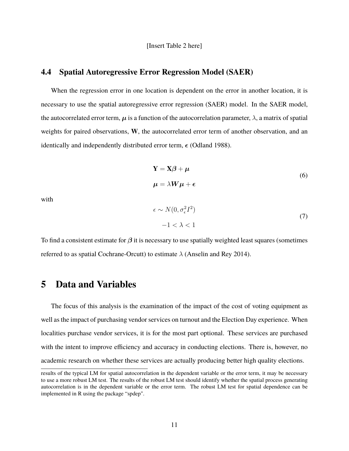#### **4.4 Spatial Autoregressive Error Regression Model (SAER)**

When the regression error in one location is dependent on the error in another location, it is necessary to use the spatial autoregressive error regression (SAER) model. In the SAER model, the autocorrelated error term,  $\mu$  is a function of the autocorrelation parameter,  $\lambda$ , a matrix of spatial weights for paired observations, **W**, the autocorrelated error term of another observation, and an identically and independently distributed error term,  $\epsilon$  (Odland 1988).

$$
Y = X\beta + \mu
$$
  
\n
$$
\mu = \lambda W\mu + \epsilon
$$
\n(6)

with

$$
\epsilon \sim N(0, \sigma_{\epsilon}^2 I^2) -1 < \lambda < 1
$$
 (7)

To find a consistent estimate for  $\beta$  it is necessary to use spatially weighted least squares (sometimes referred to as spatial Cochrane-Orcutt) to estimate  $\lambda$  (Anselin and Rey 2014).

### **5 Data and Variables**

The focus of this analysis is the examination of the impact of the cost of voting equipment as well as the impact of purchasing vendor services on turnout and the Election Day experience. When localities purchase vendor services, it is for the most part optional. These services are purchased with the intent to improve efficiency and accuracy in conducting elections. There is, however, no academic research on whether these services are actually producing better high quality elections.

results of the typical LM for spatial autocorrelation in the dependent variable or the error term, it may be necessary to use a more robust LM test. The results of the robust LM test should identify whether the spatial process generating autocorrelation is in the dependent variable or the error term. The robust LM test for spatial dependence can be implemented in R using the package "spdep".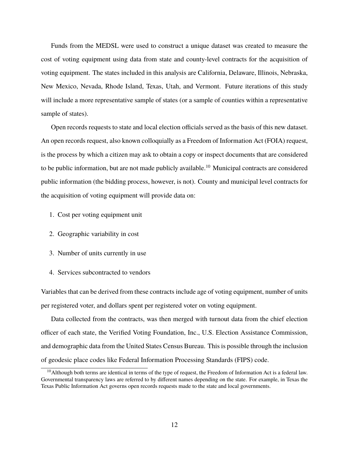Funds from the MEDSL were used to construct a unique dataset was created to measure the cost of voting equipment using data from state and county-level contracts for the acquisition of voting equipment. The states included in this analysis are California, Delaware, Illinois, Nebraska, New Mexico, Nevada, Rhode Island, Texas, Utah, and Vermont. Future iterations of this study will include a more representative sample of states (or a sample of counties within a representative sample of states).

Open records requests to state and local election officials served as the basis of this new dataset. An open records request, also known colloquially as a Freedom of Information Act (FOIA) request, is the process by which a citizen may ask to obtain a copy or inspect documents that are considered to be public information, but are not made publicly available.<sup>10</sup> Municipal contracts are considered public information (the bidding process, however, is not). County and municipal level contracts for the acquisition of voting equipment will provide data on:

- 1. Cost per voting equipment unit
- 2. Geographic variability in cost
- 3. Number of units currently in use
- 4. Services subcontracted to vendors

Variables that can be derived from these contracts include age of voting equipment, number of units per registered voter, and dollars spent per registered voter on voting equipment.

Data collected from the contracts, was then merged with turnout data from the chief election officer of each state, the Verified Voting Foundation, Inc., U.S. Election Assistance Commission, and demographic data from the United States Census Bureau. This is possible through the inclusion of geodesic place codes like Federal Information Processing Standards (FIPS) code.

 $10$ Although both terms are identical in terms of the type of request, the Freedom of Information Act is a federal law. Governmental transparency laws are referred to by different names depending on the state. For example, in Texas the Texas Public Information Act governs open records requests made to the state and local governments.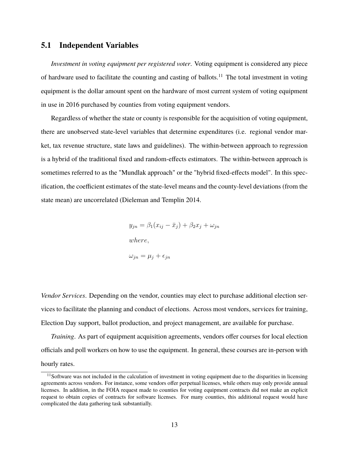### **5.1 Independent Variables**

*Investment in voting equipment per registered voter*. Voting equipment is considered any piece of hardware used to facilitate the counting and casting of ballots.<sup>11</sup> The total investment in voting equipment is the dollar amount spent on the hardware of most current system of voting equipment in use in 2016 purchased by counties from voting equipment vendors.

Regardless of whether the state or county is responsible for the acquisition of voting equipment, there are unobserved state-level variables that determine expenditures (i.e. regional vendor market, tax revenue structure, state laws and guidelines). The within-between approach to regression is a hybrid of the traditional fixed and random-effects estimators. The within-between approach is sometimes referred to as the "Mundlak approach" or the "hybrid fixed-effects model". In this specification, the coefficient estimates of the state-level means and the county-level deviations (from the state mean) are uncorrelated (Dieleman and Templin 2014.

> $y_{jn} = \beta_1(x_{ij} - \bar{x}_j) + \beta_2 x_j + \omega_{jn}$ where,  $\omega_{in} = \mu_i + \epsilon_{in}$

*Vendor Services*. Depending on the vendor, counties may elect to purchase additional election services to facilitate the planning and conduct of elections. Across most vendors, services for training, Election Day support, ballot production, and project management, are available for purchase.

*Training*. As part of equipment acquisition agreements, vendors offer courses for local election officials and poll workers on how to use the equipment. In general, these courses are in-person with hourly rates.

 $11$ Software was not included in the calculation of investment in voting equipment due to the disparities in licensing agreements across vendors. For instance, some vendors offer perpetual licenses, while others may only provide annual licenses. In addition, in the FOIA request made to counties for voting equipment contracts did not make an explicit request to obtain copies of contracts for software licenses. For many counties, this additional request would have complicated the data gathering task substantially.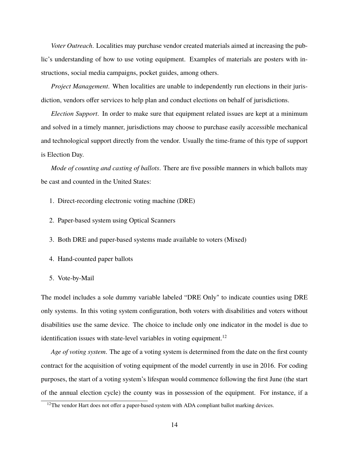*Voter Outreach*. Localities may purchase vendor created materials aimed at increasing the public's understanding of how to use voting equipment. Examples of materials are posters with instructions, social media campaigns, pocket guides, among others.

*Project Management*. When localities are unable to independently run elections in their jurisdiction, vendors offer services to help plan and conduct elections on behalf of jurisdictions.

*Election Support*. In order to make sure that equipment related issues are kept at a minimum and solved in a timely manner, jurisdictions may choose to purchase easily accessible mechanical and technological support directly from the vendor. Usually the time-frame of this type of support is Election Day.

*Mode of counting and casting of ballots*. There are five possible manners in which ballots may be cast and counted in the United States:

- 1. Direct-recording electronic voting machine (DRE)
- 2. Paper-based system using Optical Scanners
- 3. Both DRE and paper-based systems made available to voters (Mixed)
- 4. Hand-counted paper ballots
- 5. Vote-by-Mail

The model includes a sole dummy variable labeled "DRE Only" to indicate counties using DRE only systems. In this voting system configuration, both voters with disabilities and voters without disabilities use the same device. The choice to include only one indicator in the model is due to identification issues with state-level variables in voting equipment.<sup>12</sup>

*Age of voting system*. The age of a voting system is determined from the date on the first county contract for the acquisition of voting equipment of the model currently in use in 2016. For coding purposes, the start of a voting system's lifespan would commence following the first June (the start of the annual election cycle) the county was in possession of the equipment. For instance, if a

 $12$ The vendor Hart does not offer a paper-based system with ADA compliant ballot marking devices.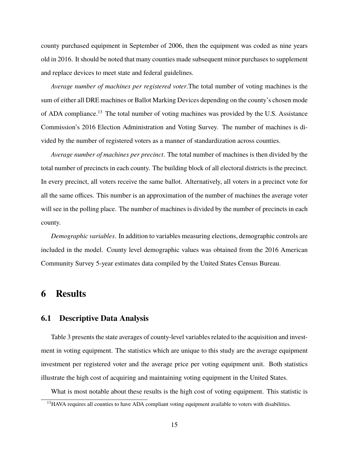county purchased equipment in September of 2006, then the equipment was coded as nine years old in 2016. It should be noted that many counties made subsequent minor purchases to supplement and replace devices to meet state and federal guidelines.

*Average number of machines per registered voter*.The total number of voting machines is the sum of either all DRE machines or Ballot Marking Devices depending on the county's chosen mode of ADA compliance.<sup>13</sup> The total number of voting machines was provided by the U.S. Assistance Commission's 2016 Election Administration and Voting Survey. The number of machines is divided by the number of registered voters as a manner of standardization across counties.

*Average number of machines per precinct*. The total number of machines is then divided by the total number of precincts in each county. The building block of all electoral districts is the precinct. In every precinct, all voters receive the same ballot. Alternatively, all voters in a precinct vote for all the same offices. This number is an approximation of the number of machines the average voter will see in the polling place. The number of machines is divided by the number of precincts in each county.

*Demographic variables*. In addition to variables measuring elections, demographic controls are included in the model. County level demographic values was obtained from the 2016 American Community Survey 5-year estimates data compiled by the United States Census Bureau.

## **6 Results**

#### **6.1 Descriptive Data Analysis**

Table 3 presents the state averages of county-level variables related to the acquisition and investment in voting equipment. The statistics which are unique to this study are the average equipment investment per registered voter and the average price per voting equipment unit. Both statistics illustrate the high cost of acquiring and maintaining voting equipment in the United States.

What is most notable about these results is the high cost of voting equipment. This statistic is

<sup>&</sup>lt;sup>13</sup>HAVA requires all counties to have ADA compliant voting equipment available to voters with disabilities.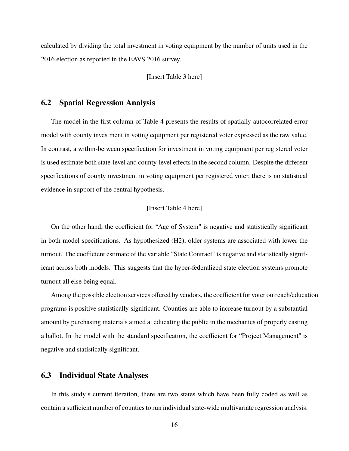calculated by dividing the total investment in voting equipment by the number of units used in the 2016 election as reported in the EAVS 2016 survey.

[Insert Table 3 here]

#### **6.2 Spatial Regression Analysis**

The model in the first column of Table 4 presents the results of spatially autocorrelated error model with county investment in voting equipment per registered voter expressed as the raw value. In contrast, a within-between specification for investment in voting equipment per registered voter is used estimate both state-level and county-level effects in the second column. Despite the different specifications of county investment in voting equipment per registered voter, there is no statistical evidence in support of the central hypothesis.

#### [Insert Table 4 here]

On the other hand, the coefficient for "Age of System" is negative and statistically significant in both model specifications. As hypothesized (H2), older systems are associated with lower the turnout. The coefficient estimate of the variable "State Contract" is negative and statistically significant across both models. This suggests that the hyper-federalized state election systems promote turnout all else being equal.

Among the possible election services offered by vendors, the coefficient for voter outreach/education programs is positive statistically significant. Counties are able to increase turnout by a substantial amount by purchasing materials aimed at educating the public in the mechanics of properly casting a ballot. In the model with the standard specification, the coefficient for "Project Management" is negative and statistically significant.

#### **6.3 Individual State Analyses**

In this study's current iteration, there are two states which have been fully coded as well as contain a sufficient number of counties to run individual state-wide multivariate regression analysis.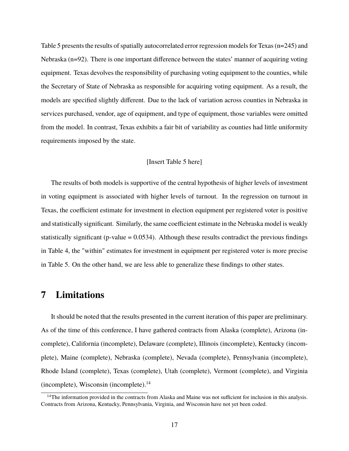Table 5 presents the results of spatially autocorrelated error regression models for Texas (n=245) and Nebraska (n=92). There is one important difference between the states' manner of acquiring voting equipment. Texas devolves the responsibility of purchasing voting equipment to the counties, while the Secretary of State of Nebraska as responsible for acquiring voting equipment. As a result, the models are specified slightly different. Due to the lack of variation across counties in Nebraska in services purchased, vendor, age of equipment, and type of equipment, those variables were omitted from the model. In contrast, Texas exhibits a fair bit of variability as counties had little uniformity requirements imposed by the state.

#### [Insert Table 5 here]

The results of both models is supportive of the central hypothesis of higher levels of investment in voting equipment is associated with higher levels of turnout. In the regression on turnout in Texas, the coefficient estimate for investment in election equipment per registered voter is positive and statistically significant. Similarly, the same coefficient estimate in the Nebraska model is weakly statistically significant ( $p$ -value = 0.0534). Although these results contradict the previous findings in Table 4, the "within" estimates for investment in equipment per registered voter is more precise in Table 5. On the other hand, we are less able to generalize these findings to other states.

### **7 Limitations**

It should be noted that the results presented in the current iteration of this paper are preliminary. As of the time of this conference, I have gathered contracts from Alaska (complete), Arizona (incomplete), California (incomplete), Delaware (complete), Illinois (incomplete), Kentucky (incomplete), Maine (complete), Nebraska (complete), Nevada (complete), Pennsylvania (incomplete), Rhode Island (complete), Texas (complete), Utah (complete), Vermont (complete), and Virginia  $(incomplete)$ , Wisconsin (incomplete).<sup>14</sup>

<sup>&</sup>lt;sup>14</sup>The information provided in the contracts from Alaska and Maine was not sufficient for inclusion in this analysis. Contracts from Arizona, Kentucky, Pennsylvania, Virginia, and Wisconsin have not yet been coded.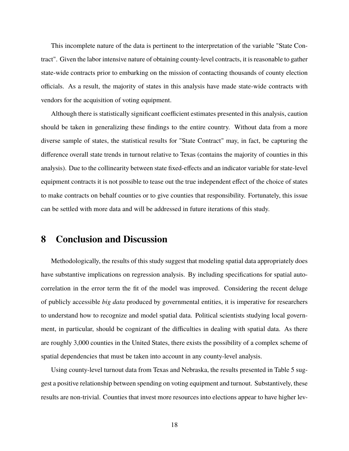This incomplete nature of the data is pertinent to the interpretation of the variable "State Contract". Given the labor intensive nature of obtaining county-level contracts, it is reasonable to gather state-wide contracts prior to embarking on the mission of contacting thousands of county election officials. As a result, the majority of states in this analysis have made state-wide contracts with vendors for the acquisition of voting equipment.

Although there is statistically significant coefficient estimates presented in this analysis, caution should be taken in generalizing these findings to the entire country. Without data from a more diverse sample of states, the statistical results for "State Contract" may, in fact, be capturing the difference overall state trends in turnout relative to Texas (contains the majority of counties in this analysis). Due to the collinearity between state fixed-effects and an indicator variable for state-level equipment contracts it is not possible to tease out the true independent effect of the choice of states to make contracts on behalf counties or to give counties that responsibility. Fortunately, this issue can be settled with more data and will be addressed in future iterations of this study.

# **8 Conclusion and Discussion**

Methodologically, the results of this study suggest that modeling spatial data appropriately does have substantive implications on regression analysis. By including specifications for spatial autocorrelation in the error term the fit of the model was improved. Considering the recent deluge of publicly accessible *big data* produced by governmental entities, it is imperative for researchers to understand how to recognize and model spatial data. Political scientists studying local government, in particular, should be cognizant of the difficulties in dealing with spatial data. As there are roughly 3,000 counties in the United States, there exists the possibility of a complex scheme of spatial dependencies that must be taken into account in any county-level analysis.

Using county-level turnout data from Texas and Nebraska, the results presented in Table 5 suggest a positive relationship between spending on voting equipment and turnout. Substantively, these results are non-trivial. Counties that invest more resources into elections appear to have higher lev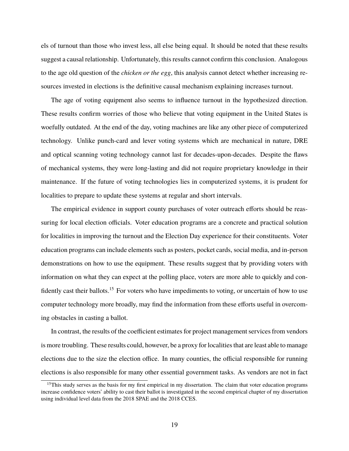els of turnout than those who invest less, all else being equal. It should be noted that these results suggest a causal relationship. Unfortunately, this results cannot confirm this conclusion. Analogous to the age old question of the *chicken or the egg*, this analysis cannot detect whether increasing resources invested in elections is the definitive causal mechanism explaining increases turnout.

The age of voting equipment also seems to influence turnout in the hypothesized direction. These results confirm worries of those who believe that voting equipment in the United States is woefully outdated. At the end of the day, voting machines are like any other piece of computerized technology. Unlike punch-card and lever voting systems which are mechanical in nature, DRE and optical scanning voting technology cannot last for decades-upon-decades. Despite the flaws of mechanical systems, they were long-lasting and did not require proprietary knowledge in their maintenance. If the future of voting technologies lies in computerized systems, it is prudent for localities to prepare to update these systems at regular and short intervals.

The empirical evidence in support county purchases of voter outreach efforts should be reassuring for local election officials. Voter education programs are a concrete and practical solution for localities in improving the turnout and the Election Day experience for their constituents. Voter education programs can include elements such as posters, pocket cards, social media, and in-person demonstrations on how to use the equipment. These results suggest that by providing voters with information on what they can expect at the polling place, voters are more able to quickly and confidently cast their ballots.<sup>15</sup> For voters who have impediments to voting, or uncertain of how to use computer technology more broadly, may find the information from these efforts useful in overcoming obstacles in casting a ballot.

In contrast, the results of the coefficient estimates for project management services from vendors is more troubling. These results could, however, be a proxy for localities that are least able to manage elections due to the size the election office. In many counties, the official responsible for running elections is also responsible for many other essential government tasks. As vendors are not in fact

 $15$ This study serves as the basis for my first empirical in my dissertation. The claim that voter education programs increase confidence voters' ability to cast their ballot is investigated in the second empirical chapter of my dissertation using individual level data from the 2018 SPAE and the 2018 CCES.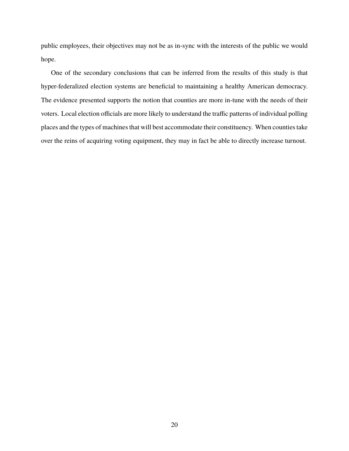public employees, their objectives may not be as in-sync with the interests of the public we would hope.

One of the secondary conclusions that can be inferred from the results of this study is that hyper-federalized election systems are beneficial to maintaining a healthy American democracy. The evidence presented supports the notion that counties are more in-tune with the needs of their voters. Local election officials are more likely to understand the traffic patterns of individual polling places and the types of machines that will best accommodate their constituency. When counties take over the reins of acquiring voting equipment, they may in fact be able to directly increase turnout.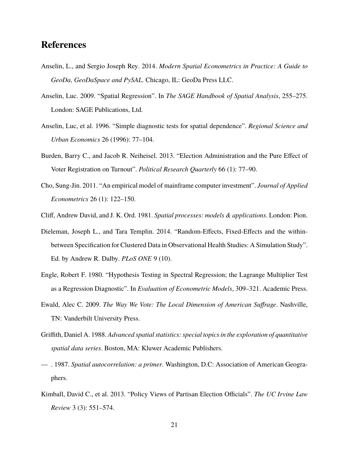# **References**

- Anselin, L., and Sergio Joseph Rey. 2014. *Modern Spatial Econometrics in Practice: A Guide to GeoDa, GeoDaSpace and PySAL*. Chicago, IL: GeoDa Press LLC.
- Anselin, Luc. 2009. "Spatial Regression". In *The SAGE Handbook of Spatial Analysis*, 255–275. London: SAGE Publications, Ltd.
- Anselin, Luc, et al. 1996. "Simple diagnostic tests for spatial dependence". *Regional Science and Urban Economics* 26 (1996): 77–104.
- Burden, Barry C., and Jacob R. Neiheisel. 2013. "Election Administration and the Pure Effect of Voter Registration on Turnout". *Political Research Quarterly* 66 (1): 77–90.
- Cho, Sung-Jin. 2011. "An empirical model of mainframe computer investment". *Journal of Applied Econometrics* 26 (1): 122–150.
- Cliff, Andrew David, and J. K. Ord. 1981. *Spatial processes: models & applications*. London: Pion.
- Dieleman, Joseph L., and Tara Templin. 2014. "Random-Effects, Fixed-Effects and the withinbetween Specification for Clustered Data in Observational Health Studies: A Simulation Study". Ed. by Andrew R. Dalby. *PLoS ONE* 9 (10).
- Engle, Robert F. 1980. "Hypothesis Testing in Spectral Regression; the Lagrange Multiplier Test as a Regression Diagnostic". In *Evaluation of Econometric Models*, 309–321. Academic Press.
- Ewald, Alec C. 2009. *The Way We Vote: The Local Dimension of American Suffrage*. Nashville, TN: Vanderbilt University Press.
- Griffith, Daniel A. 1988. *Advanced spatial statistics: special topics in the exploration of quantitative spatial data series*. Boston, MA: Kluwer Academic Publishers.
- . 1987. *Spatial autocorrelation: a primer*. Washington, D.C: Association of American Geographers.
- Kimball, David C., et al. 2013. "Policy Views of Partisan Election Officials". *The UC Irvine Law Review* 3 (3): 551–574.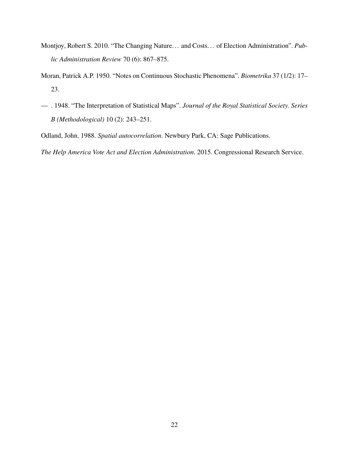- Montjoy, Robert S. 2010. "The Changing Nature. . . and Costs. . . of Election Administration". *Public Administration Review* 70 (6): 867–875.
- Moran, Patrick A.P. 1950. "Notes on Continuous Stochastic Phenomena". *Biometrika* 37 (1/2): 17– 23.
- . 1948. "The Interpretation of Statistical Maps". *Journal of the Royal Statistical Society. Series B (Methodological)* 10 (2): 243–251.
- Odland, John. 1988. *Spatial autocorrelation*. Newbury Park, CA: Sage Publications.

*The Help America Vote Act and Election Administration*. 2015. Congressional Research Service.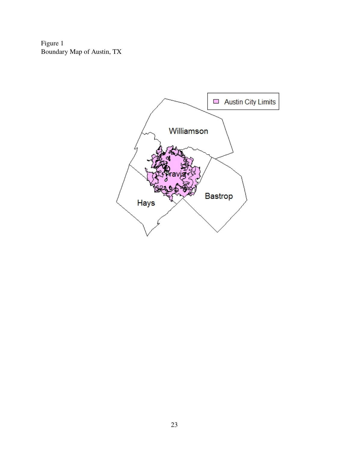Figure 1 Boundary Map of Austin, TX

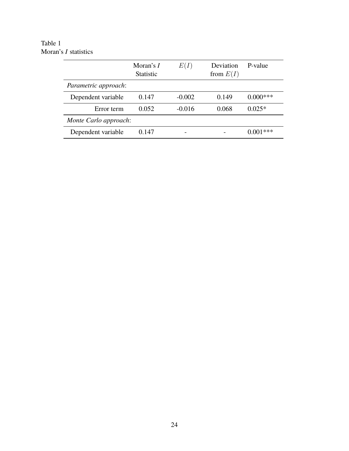### Table 1 Moran's *I* statistics

|                       | Moran's $I$<br><b>Statistic</b> | E(I)     | Deviation<br>from $E(I)$ | P-value    |
|-----------------------|---------------------------------|----------|--------------------------|------------|
| Parametric approach:  |                                 |          |                          |            |
| Dependent variable    | 0.147                           | $-0.002$ | 0.149                    | $0.000***$ |
| Error term            | 0.052                           | $-0.016$ | 0.068                    | $0.025*$   |
| Monte Carlo approach: |                                 |          |                          |            |
| Dependent variable    | 0.147                           |          |                          | $11**$     |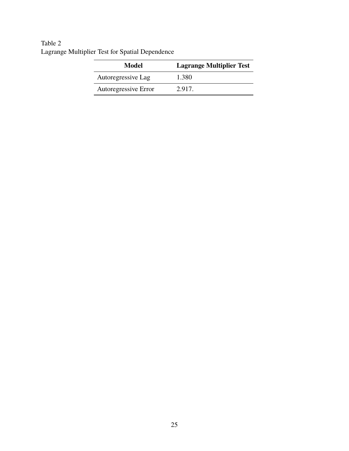### Table 2 Lagrange Multiplier Test for Spatial Dependence

| Model                | <b>Lagrange Multiplier Test</b> |
|----------------------|---------------------------------|
| Autoregressive Lag   | 1.380                           |
| Autoregressive Error | 2.917.                          |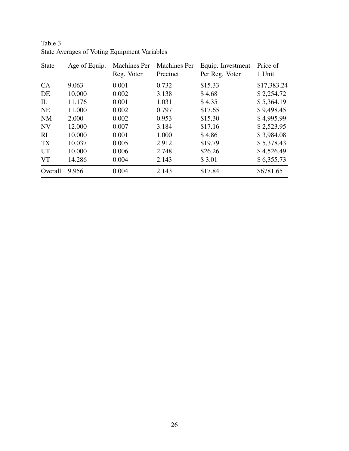| <b>State</b> | Age of Equip. | <b>Machines Per</b><br>Reg. Voter | <b>Machines Per</b><br>Precinct | Equip. Investment<br>Per Reg. Voter | Price of<br>1 Unit |
|--------------|---------------|-----------------------------------|---------------------------------|-------------------------------------|--------------------|
| CA           | 9.063         | 0.001                             | 0.732                           | \$15.33                             | \$17,383.24        |
| DE           | 10.000        | 0.002                             | 3.138                           | \$4.68                              | \$2,254.72         |
| IL           | 11.176        | 0.001                             | 1.031                           | \$4.35                              | \$5,364.19         |
| <b>NE</b>    | 11.000        | 0.002                             | 0.797                           | \$17.65                             | \$9,498.45         |
| <b>NM</b>    | 2.000         | 0.002                             | 0.953                           | \$15.30                             | \$4,995.99         |
| <b>NV</b>    | 12.000        | 0.007                             | 3.184                           | \$17.16                             | \$2,523.95         |
| RI           | 10.000        | 0.001                             | 1.000                           | \$4.86                              | \$3,984.08         |
| <b>TX</b>    | 10.037        | 0.005                             | 2.912                           | \$19.79                             | \$5,378.43         |
| <b>UT</b>    | 10.000        | 0.006                             | 2.748                           | \$26.26                             | \$4,526.49         |
| <b>VT</b>    | 14.286        | 0.004                             | 2.143                           | \$3.01                              | \$6,355.73         |
| Overall      | 9.956         | 0.004                             | 2.143                           | \$17.84                             | \$6781.65          |

Table 3 State Averages of Voting Equipment Variables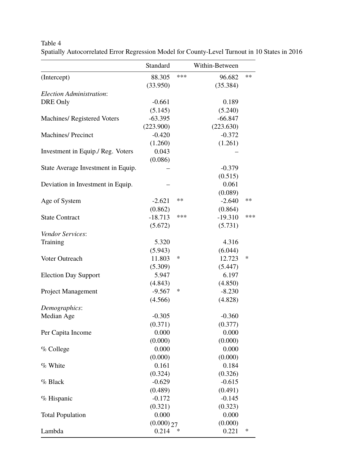|                                    | Standard     |     | Within-Between |            |
|------------------------------------|--------------|-----|----------------|------------|
| (Intercept)                        | 88.305       | *** | 96.682         | $**$       |
|                                    | (33.950)     |     | (35.384)       |            |
| Election Administration:           |              |     |                |            |
| <b>DRE Only</b>                    | $-0.661$     |     | 0.189          |            |
|                                    | (5.145)      |     | (5.240)        |            |
| <b>Machines/ Registered Voters</b> | $-63.395$    |     | $-66.847$      |            |
|                                    | (223.900)    |     | (223.630)      |            |
| <b>Machines/Precinct</b>           | $-0.420$     |     | $-0.372$       |            |
|                                    | (1.260)      |     | (1.261)        |            |
| Investment in Equip./ Reg. Voters  | 0.043        |     |                |            |
|                                    | (0.086)      |     |                |            |
| State Average Investment in Equip. |              |     | $-0.379$       |            |
|                                    |              |     | (0.515)        |            |
| Deviation in Investment in Equip.  |              |     | 0.061          |            |
|                                    |              |     | (0.089)        |            |
| Age of System                      | $-2.621$     | **  | $-2.640$       | $\ast\ast$ |
|                                    | (0.862)      |     | (0.864)        |            |
| <b>State Contract</b>              | $-18.713$    | *** | $-19.310$      | ***        |
|                                    | (5.672)      |     | (5.731)        |            |
| Vendor Services:                   |              |     |                |            |
| Training                           | 5.320        |     | 4.316          |            |
|                                    | (5.943)      |     | (6.044)        |            |
| Voter Outreach                     | 11.803       | ∗   | 12.723         | ∗          |
|                                    | (5.309)      |     | (5.447)        |            |
| <b>Election Day Support</b>        | 5.947        |     | 6.197          |            |
|                                    | (4.843)      |     | (4.850)        |            |
| <b>Project Management</b>          | $-9.567$     | ∗   | $-8.230$       |            |
|                                    | (4.566)      |     | (4.828)        |            |
| Demographics:                      |              |     |                |            |
| Median Age                         | $-0.305$     |     | $-0.360$       |            |
|                                    | (0.371)      |     | (0.377)        |            |
| Per Capita Income                  | 0.000        |     | 0.000          |            |
|                                    | (0.000)      |     | (0.000)        |            |
| $\%$ College                       | 0.000        |     | 0.000          |            |
|                                    | (0.000)      |     | (0.000)        |            |
| % White                            | 0.161        |     | 0.184          |            |
|                                    | (0.324)      |     | (0.326)        |            |
| % Black                            | $-0.629$     |     | $-0.615$       |            |
|                                    | (0.489)      |     | (0.491)        |            |
| % Hispanic                         | $-0.172$     |     | $-0.145$       |            |
|                                    | (0.321)      |     | (0.323)        |            |
| <b>Total Population</b>            | 0.000        |     | 0.000          |            |
|                                    | $(0.000)$ 27 |     | (0.000)        |            |
| Lambda                             | 0.214        | ∗   | 0.221          | ∗          |

Table 4 Spatially Autocorrelated Error Regression Model for County-Level Turnout in 10 States in 2016